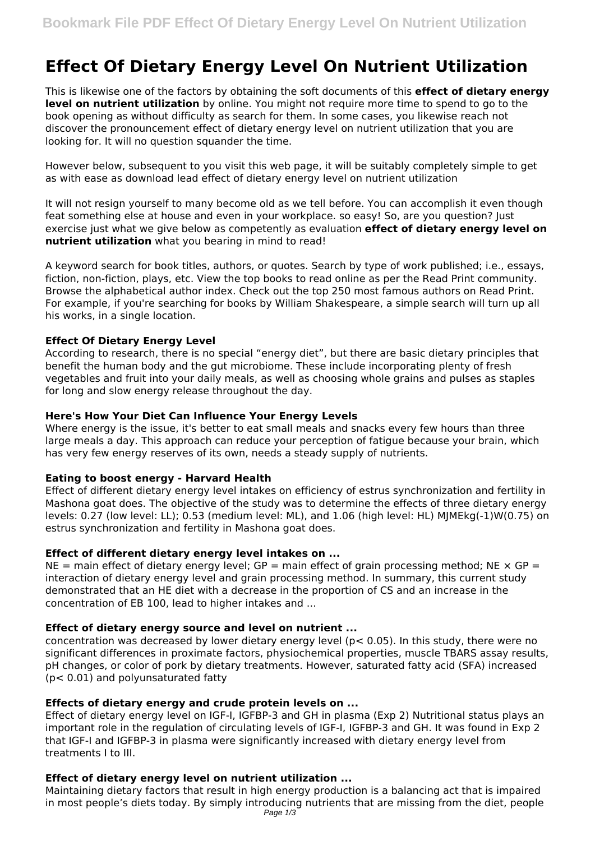# **Effect Of Dietary Energy Level On Nutrient Utilization**

This is likewise one of the factors by obtaining the soft documents of this **effect of dietary energy level on nutrient utilization** by online. You might not require more time to spend to go to the book opening as without difficulty as search for them. In some cases, you likewise reach not discover the pronouncement effect of dietary energy level on nutrient utilization that you are looking for. It will no question squander the time.

However below, subsequent to you visit this web page, it will be suitably completely simple to get as with ease as download lead effect of dietary energy level on nutrient utilization

It will not resign yourself to many become old as we tell before. You can accomplish it even though feat something else at house and even in your workplace. so easy! So, are you question? Just exercise just what we give below as competently as evaluation **effect of dietary energy level on nutrient utilization** what you bearing in mind to read!

A keyword search for book titles, authors, or quotes. Search by type of work published; i.e., essays, fiction, non-fiction, plays, etc. View the top books to read online as per the Read Print community. Browse the alphabetical author index. Check out the top 250 most famous authors on Read Print. For example, if you're searching for books by William Shakespeare, a simple search will turn up all his works, in a single location.

#### **Effect Of Dietary Energy Level**

According to research, there is no special "energy diet", but there are basic dietary principles that benefit the human body and the gut microbiome. These include incorporating plenty of fresh vegetables and fruit into your daily meals, as well as choosing whole grains and pulses as staples for long and slow energy release throughout the day.

#### **Here's How Your Diet Can Influence Your Energy Levels**

Where energy is the issue, it's better to eat small meals and snacks every few hours than three large meals a day. This approach can reduce your perception of fatigue because your brain, which has very few energy reserves of its own, needs a steady supply of nutrients.

#### **Eating to boost energy - Harvard Health**

Effect of different dietary energy level intakes on efficiency of estrus synchronization and fertility in Mashona goat does. The objective of the study was to determine the effects of three dietary energy levels: 0.27 (low level: LL); 0.53 (medium level: ML), and 1.06 (high level: HL) MJMEkg(-1)W(0.75) on estrus synchronization and fertility in Mashona goat does.

#### **Effect of different dietary energy level intakes on ...**

NE = main effect of dietary energy level; GP = main effect of grain processing method; NE  $\times$  GP = interaction of dietary energy level and grain processing method. In summary, this current study demonstrated that an HE diet with a decrease in the proportion of CS and an increase in the concentration of EB 100, lead to higher intakes and ...

#### **Effect of dietary energy source and level on nutrient ...**

concentration was decreased by lower dietary energy level (p< 0.05). In this study, there were no significant differences in proximate factors, physiochemical properties, muscle TBARS assay results, pH changes, or color of pork by dietary treatments. However, saturated fatty acid (SFA) increased (p< 0.01) and polyunsaturated fatty

#### **Effects of dietary energy and crude protein levels on ...**

Effect of dietary energy level on IGF-I, IGFBP-3 and GH in plasma (Exp 2) Nutritional status plays an important role in the regulation of circulating levels of IGF-I, IGFBP-3 and GH. It was found in Exp 2 that IGF-I and IGFBP-3 in plasma were significantly increased with dietary energy level from treatments I to III.

## **Effect of dietary energy level on nutrient utilization ...**

Maintaining dietary factors that result in high energy production is a balancing act that is impaired in most people's diets today. By simply introducing nutrients that are missing from the diet, people Page  $1/3$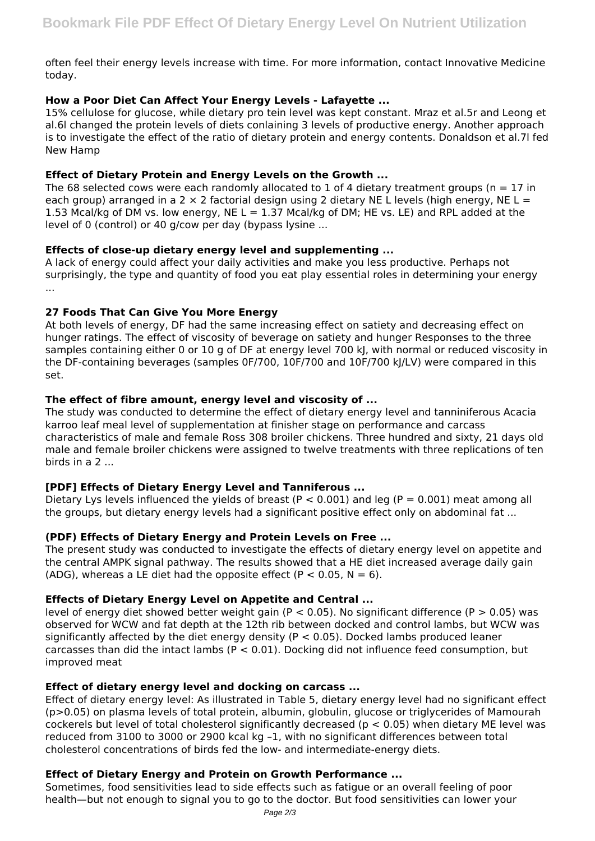often feel their energy levels increase with time. For more information, contact Innovative Medicine today.

### **How a Poor Diet Can Affect Your Energy Levels - Lafayette ...**

15% cellulose for glucose, while dietary pro tein level was kept constant. Mraz et al.5r and Leong et al.6l changed the protein levels of diets conlaining 3 levels of productive energy. Another approach is to investigate the effect of the ratio of dietary protein and energy contents. Donaldson et al.7l fed New Hamp

#### **Effect of Dietary Protein and Energy Levels on the Growth ...**

The 68 selected cows were each randomly allocated to 1 of 4 dietary treatment groups ( $n = 17$  in each group) arranged in a 2  $\times$  2 factorial design using 2 dietary NE L levels (high energy, NE L = 1.53 Mcal/kg of DM vs. low energy, NE L = 1.37 Mcal/kg of DM; HE vs. LE) and RPL added at the level of 0 (control) or 40 g/cow per day (bypass lysine ...

#### **Effects of close-up dietary energy level and supplementing ...**

A lack of energy could affect your daily activities and make you less productive. Perhaps not surprisingly, the type and quantity of food you eat play essential roles in determining your energy ...

## **27 Foods That Can Give You More Energy**

At both levels of energy, DF had the same increasing effect on satiety and decreasing effect on hunger ratings. The effect of viscosity of beverage on satiety and hunger Responses to the three samples containing either 0 or 10 g of DF at energy level 700 kJ, with normal or reduced viscosity in the DF-containing beverages (samples 0F/700, 10F/700 and 10F/700 kJ/LV) were compared in this set.

## **The effect of fibre amount, energy level and viscosity of ...**

The study was conducted to determine the effect of dietary energy level and tanniniferous Acacia karroo leaf meal level of supplementation at finisher stage on performance and carcass characteristics of male and female Ross 308 broiler chickens. Three hundred and sixty, 21 days old male and female broiler chickens were assigned to twelve treatments with three replications of ten birds in a 2 ...

# **[PDF] Effects of Dietary Energy Level and Tanniferous ...**

Dietary Lys levels influenced the yields of breast ( $P < 0.001$ ) and leg ( $P = 0.001$ ) meat among all the groups, but dietary energy levels had a significant positive effect only on abdominal fat ...

#### **(PDF) Effects of Dietary Energy and Protein Levels on Free ...**

The present study was conducted to investigate the effects of dietary energy level on appetite and the central AMPK signal pathway. The results showed that a HE diet increased average daily gain (ADG), whereas a LE diet had the opposite effect ( $P < 0.05$ ,  $N = 6$ ).

#### **Effects of Dietary Energy Level on Appetite and Central ...**

level of energy diet showed better weight gain ( $P < 0.05$ ). No significant difference ( $P > 0.05$ ) was observed for WCW and fat depth at the 12th rib between docked and control lambs, but WCW was significantly affected by the diet energy density ( $P < 0.05$ ). Docked lambs produced leaner carcasses than did the intact lambs ( $P < 0.01$ ). Docking did not influence feed consumption, but improved meat

#### **Effect of dietary energy level and docking on carcass ...**

Effect of dietary energy level: As illustrated in Table 5, dietary energy level had no significant effect (p>0.05) on plasma levels of total protein, albumin, globulin, glucose or triglycerides of Mamourah cockerels but level of total cholesterol significantly decreased ( $p < 0.05$ ) when dietary ME level was reduced from 3100 to 3000 or 2900 kcal kg –1, with no significant differences between total cholesterol concentrations of birds fed the low- and intermediate-energy diets.

# **Effect of Dietary Energy and Protein on Growth Performance ...**

Sometimes, food sensitivities lead to side effects such as fatigue or an overall feeling of poor health—but not enough to signal you to go to the doctor. But food sensitivities can lower your